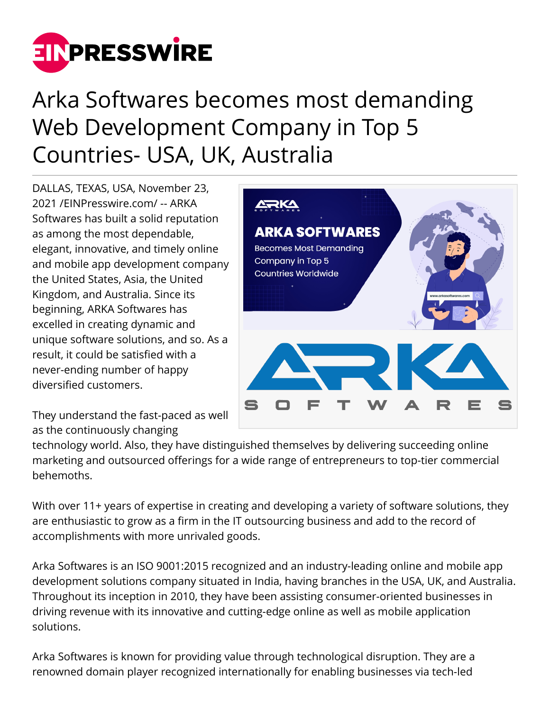

# Arka Softwares becomes most demanding Web Development Company in Top 5 Countries- USA, UK, Australia

DALLAS, TEXAS, USA, November 23, 2021 /[EINPresswire.com](http://www.einpresswire.com)/ -- ARKA Softwares has built a solid reputation as among the most dependable, elegant, innovative, and timely online and mobile app development company the United States, Asia, the United Kingdom, and Australia. Since its beginning, ARKA Softwares has excelled in creating dynamic and unique software solutions, and so. As a result, it could be satisfied with a never-ending number of happy diversified customers.

They understand the fast-paced as well as the continuously changing



technology world. Also, they have distinguished themselves by delivering succeeding online marketing and outsourced offerings for a wide range of entrepreneurs to top-tier commercial behemoths.

With over 11+ years of expertise in creating and developing a variety of software solutions, they are enthusiastic to grow as a firm in the IT outsourcing business and add to the record of accomplishments with more unrivaled goods.

Arka Softwares is an ISO 9001:2015 recognized and an industry-leading online and mobile app development solutions company situated in India, having branches in the USA, UK, and Australia. Throughout its inception in 2010, they have been assisting consumer-oriented businesses in driving revenue with its innovative and cutting-edge online as well as mobile application solutions.

Arka Softwares is known for providing value through technological disruption. They are a renowned domain player recognized internationally for enabling businesses via tech-led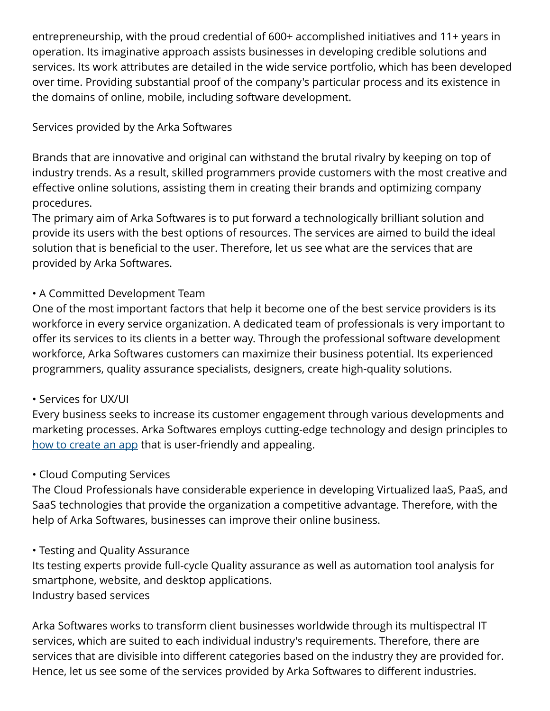entrepreneurship, with the proud credential of 600+ accomplished initiatives and 11+ years in operation. Its imaginative approach assists businesses in developing credible solutions and services. Its work attributes are detailed in the wide service portfolio, which has been developed over time. Providing substantial proof of the company's particular process and its existence in the domains of online, mobile, including software development.

## Services provided by the Arka Softwares

Brands that are innovative and original can withstand the brutal rivalry by keeping on top of industry trends. As a result, skilled programmers provide customers with the most creative and effective online solutions, assisting them in creating their brands and optimizing company procedures.

The primary aim of Arka Softwares is to put forward a technologically brilliant solution and provide its users with the best options of resources. The services are aimed to build the ideal solution that is beneficial to the user. Therefore, let us see what are the services that are provided by Arka Softwares.

## • A Committed Development Team

One of the most important factors that help it become one of the best service providers is its workforce in every service organization. A dedicated team of professionals is very important to offer its services to its clients in a better way. Through the professional software development workforce, Arka Softwares customers can maximize their business potential. Its experienced programmers, quality assurance specialists, designers, create high-quality solutions.

## • Services for UX/UI

Every business seeks to increase its customer engagement through various developments and marketing processes. Arka Softwares employs cutting-edge technology and design principles to [how to create an app](https://www.arkasoftwares.com/blog/how-to-create-an-app/) that is user-friendly and appealing.

## • Cloud Computing Services

The Cloud Professionals have considerable experience in developing Virtualized laaS, PaaS, and SaaS technologies that provide the organization a competitive advantage. Therefore, with the help of Arka Softwares, businesses can improve their online business.

## • Testing and Quality Assurance

Its testing experts provide full-cycle Quality assurance as well as automation tool analysis for smartphone, website, and desktop applications. Industry based services

Arka Softwares works to transform client businesses worldwide through its multispectral IT services, which are suited to each individual industry's requirements. Therefore, there are services that are divisible into different categories based on the industry they are provided for. Hence, let us see some of the services provided by Arka Softwares to different industries.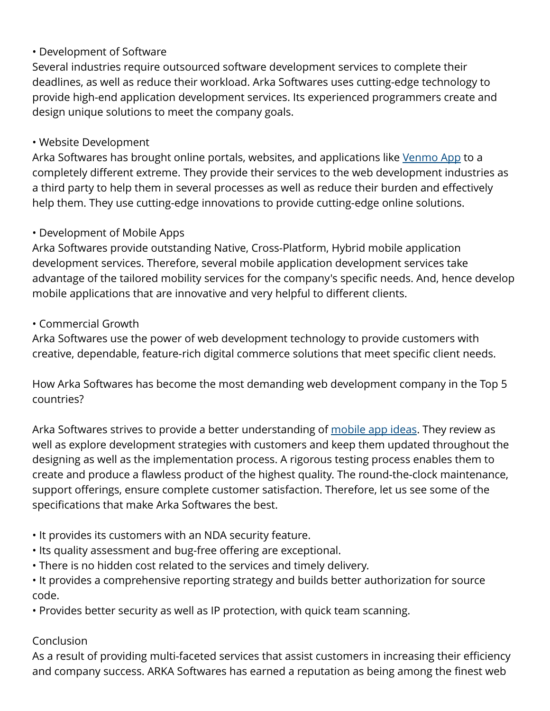## • Development of Software

Several industries require outsourced software development services to complete their deadlines, as well as reduce their workload. Arka Softwares uses cutting-edge technology to provide high-end application development services. Its experienced programmers create and design unique solutions to meet the company goals.

#### • Website Development

Arka Softwares has brought online portals, websites, and applications like [Venmo App](https://www.arkasoftwares.com/blog/how-does-venmo-make-money-business-model/) to a completely different extreme. They provide their services to the web development industries as a third party to help them in several processes as well as reduce their burden and effectively help them. They use cutting-edge innovations to provide cutting-edge online solutions.

#### • Development of Mobile Apps

Arka Softwares provide outstanding Native, Cross-Platform, Hybrid mobile application development services. Therefore, several mobile application development services take advantage of the tailored mobility services for the company's specific needs. And, hence develop mobile applications that are innovative and very helpful to different clients.

#### • Commercial Growth

Arka Softwares use the power of web development technology to provide customers with creative, dependable, feature-rich digital commerce solutions that meet specific client needs.

How Arka Softwares has become the most demanding web development company in the Top 5 countries?

Arka Softwares strives to provide a better understanding of [mobile app ideas](https://www.arkasoftwares.com/blog/best-mobile-app-ideas/). They review as well as explore development strategies with customers and keep them updated throughout the designing as well as the implementation process. A rigorous testing process enables them to create and produce a flawless product of the highest quality. The round-the-clock maintenance, support offerings, ensure complete customer satisfaction. Therefore, let us see some of the specifications that make Arka Softwares the best.

- It provides its customers with an NDA security feature.
- Its quality assessment and bug-free offering are exceptional.
- There is no hidden cost related to the services and timely delivery.

• It provides a comprehensive reporting strategy and builds better authorization for source code.

• Provides better security as well as IP protection, with quick team scanning.

#### Conclusion

As a result of providing multi-faceted services that assist customers in increasing their efficiency and company success. ARKA Softwares has earned a reputation as being among the finest web